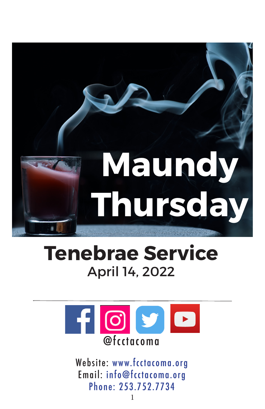

# **Tenebrae Service**  April 14, 2022



Website: www.fcctacoma.org Email: info@fcctacoma.org Phone: 253.752.7734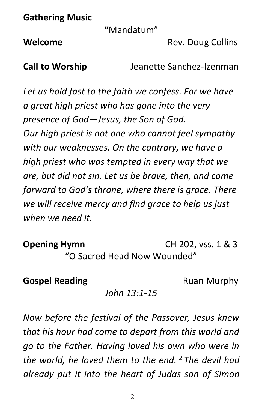**Gathering Music**

**"**Mandatum"

**Welcome** Rev. Doug Collins

**Call to Worship** Jeanette Sanchez-Izenman

*Let us hold fast to the faith we confess. For we have a great high priest who has gone into the very presence of God—Jesus, the Son of God. Our high priest is not one who cannot feel sympathy with our weaknesses. On the contrary, we have a high priest who was tempted in every way that we are, but did not sin. Let us be brave, then, and come forward to God's throne, where there is grace. There we will receive mercy and find grace to help us just when we need it.*

**Opening Hymn CH 202, vss. 1 & 3** "O Sacred Head Now Wounded"

# **Gospel Reading**  Ruan Murphy

*John 13:1-15*

*Now before the festival of the Passover, Jesus knew that his hour had come to depart from this world and go to the Father. Having loved his own who were in the world, he loved them to the end. <sup>2</sup> The devil had already put it into the heart of Judas son of Simon*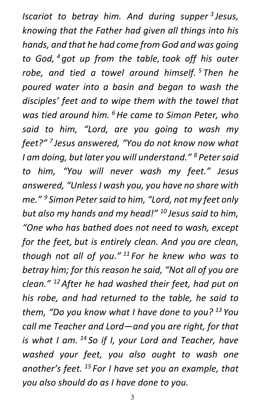*Iscariot to betray him. And during supper <sup>3</sup> Jesus, knowing that the Father had given all things into his hands, and that he had come from God and was going to God, <sup>4</sup> got up from the table, took off his outer robe, and tied a towel around himself. <sup>5</sup> Then he poured water into a basin and began to wash the disciples' feet and to wipe them with the towel that was tied around him. 6He came to Simon Peter, who said to him, "Lord, are you going to wash my feet?" <sup>7</sup> Jesus answered, "You do not know now what I am doing, but later you will understand." <sup>8</sup> Petersaid to him, "You will never wash my feet." Jesus answered, "UnlessI wash you, you have no share with me." <sup>9</sup> Simon Petersaid to him, "Lord, not my feet only but also my hands and my head!" <sup>10</sup> Jesus said to him, "One who has bathed does not need to wash, except for the feet, but is entirely clean. And you are clean, though not all of you." <sup>11</sup> For he knew who was to betray him; for this reason he said, "Not all of you are clean." 12After he had washed their feet, had put on his robe, and had returned to the table, he said to them, "Do you know what I have done to you? <sup>13</sup> You call me Teacher and Lord—and you are right, for that is what I am. <sup>14</sup> So if I, your Lord and Teacher, have washed your feet, you also ought to wash one another's feet. <sup>15</sup> For I have set you an example, that you also should do as I have done to you.*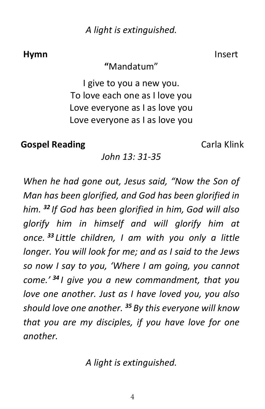*A light is extinguished.*

# **Hymn** Insert

# **"**Mandatum"

I give to you a new you. To love each one as I love you Love everyone as I as love you Love everyone as I as love you

**Gospel Reading** Carla Klink

*John 13: 31-35*

*When he had gone out, Jesus said, "Now the Son of Man has been glorified, and God has been glorified in him. <sup>32</sup> If God has been glorified in him, God will also glorify him in himself and will glorify him at once. <sup>33</sup> Little children, I am with you only a little longer. You will look for me; and as I said to the Jews so now I say to you, 'Where I am going, you cannot come.' <sup>34</sup> I give you a new commandment, that you love one another. Just as I have loved you, you also should love one another. <sup>35</sup> By this everyone will know that you are my disciples, if you have love for one another.*

*A light is extinguished.*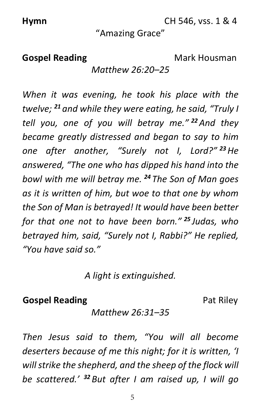**Hymn CH 546, vss. 1 & 4** 

# "Amazing Grace"

# **Gospel Reading** Mark Housman

*Matthew 26:20–25*

*When it was evening, he took his place with the twelve; <sup>21</sup> and while they were eating, he said, "Truly I tell you, one of you will betray me." <sup>22</sup>And they became greatly distressed and began to say to him one after another, "Surely not I, Lord?" <sup>23</sup>He answered, "The one who has dipped his hand into the bowl with me will betray me. <sup>24</sup> The Son of Man goes as it is written of him, but woe to that one by whom the Son of Man is betrayed! It would have been better for that one not to have been born." <sup>25</sup> Judas, who betrayed him, said, "Surely not I, Rabbi?" He replied, "You have said so."*

*A light is extinguished.*

# **Gospel Reading Pat Riley**

*Matthew 26:31–35*

*Then Jesus said to them, "You will all become deserters because of me this night; for it is written, 'I willstrike the shepherd, and the sheep of the flock will be scattered.' <sup>32</sup> But after I am raised up, I will go*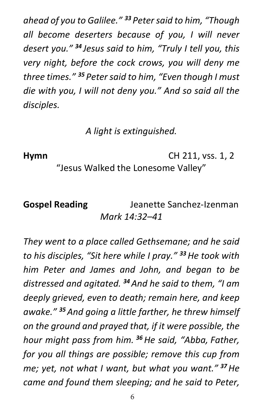*ahead of you to Galilee." <sup>33</sup> Petersaid to him, "Though all become deserters because of you, I will never desert you." <sup>34</sup> Jesus said to him, "Truly I tell you, this very night, before the cock crows, you will deny me three times." <sup>35</sup> Petersaid to him, "Even though I must die with you, I will not deny you." And so said all the disciples.*

*A light is extinguished.*

**Hymn** CH 211, vss. 1, 2

"Jesus Walked the Lonesome Valley"

# **Gospel Reading** Jeanette Sanchez-Izenman *Mark 14:32–41*

*They went to a place called Gethsemane; and he said to his disciples, "Sit here while I pray." <sup>33</sup>He took with him Peter and James and John, and began to be distressed and agitated. <sup>34</sup>And he said to them, "I am deeply grieved, even to death; remain here, and keep awake." <sup>35</sup>And going a little farther, he threw himself on the ground and prayed that, if it were possible, the hour might pass from him. <sup>36</sup>He said, "Abba, Father, for you all things are possible; remove this cup from me; yet, not what I want, but what you want." <sup>37</sup>He came and found them sleeping; and he said to Peter,*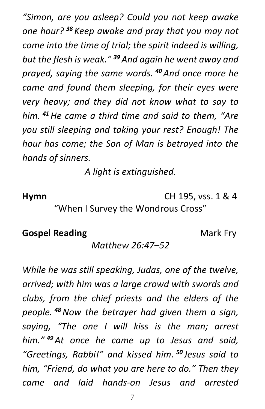*"Simon, are you asleep? Could you not keep awake one hour? <sup>38</sup> Keep awake and pray that you may not come into the time of trial; the spirit indeed is willing, but the flesh is weak." <sup>39</sup>And again he went away and prayed, saying the same words. <sup>40</sup>And once more he came and found them sleeping, for their eyes were very heavy; and they did not know what to say to him. <sup>41</sup>He came a third time and said to them, "Are you still sleeping and taking your rest? Enough! The hour has come; the Son of Man is betrayed into the hands of sinners.*

*A light is extinguished.*

**Hymn** CH 195, vss. 1 & 4

"When I Survey the Wondrous Cross"

# **Gospel Reading** Mark Fry

# *Matthew 26:47–52*

*While he was still speaking, Judas, one of the twelve, arrived; with him was a large crowd with swords and clubs, from the chief priests and the elders of the people. <sup>48</sup>Now the betrayer had given them a sign, saying, "The one I will kiss is the man; arrest him." <sup>49</sup>At once he came up to Jesus and said, "Greetings, Rabbi!" and kissed him. <sup>50</sup> Jesus said to him, "Friend, do what you are here to do." Then they came and laid hands-on Jesus and arrested*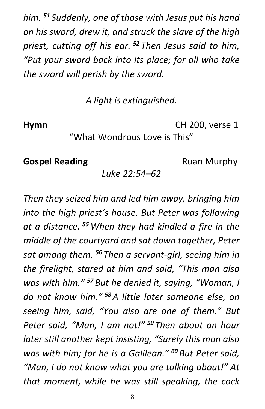*him. <sup>51</sup> Suddenly, one of those with Jesus put his hand on his sword, drew it, and struck the slave of the high priest, cutting off his ear. <sup>52</sup> Then Jesus said to him, "Put your sword back into its place; for all who take the sword will perish by the sword.*

*A light is extinguished.*

**Hymn** CH 200, verse 1

# "What Wondrous Love is This"

# **Gospel Reading Ruan Murphy**

# *Luke 22:54–62*

*Then they seized him and led him away, bringing him into the high priest's house. But Peter was following at a distance. <sup>55</sup>When they had kindled a fire in the middle of the courtyard and sat down together, Peter sat among them. <sup>56</sup> Then a servant-girl, seeing him in the firelight, stared at him and said, "This man also was with him." <sup>57</sup> But he denied it, saying, "Woman, I do not know him." <sup>58</sup>A little later someone else, on seeing him, said, "You also are one of them." But Peter said, "Man, I am not!" <sup>59</sup> Then about an hour later still another kept insisting, "Surely this man also was with him; for he is a Galilean." <sup>60</sup> But Peter said, "Man, I do not know what you are talking about!" At that moment, while he was still speaking, the cock*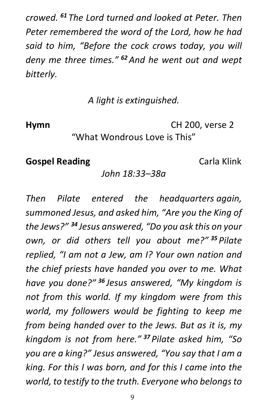*crowed. <sup>61</sup> The Lord turned and looked at Peter. Then Peter remembered the word of the Lord, how he had said to him, "Before the cock crows today, you will deny me three times." <sup>62</sup>And he went out and wept bitterly.*

# *A light is extinguished.*

**Hymn** CH 200, verse 2

# "What Wondrous Love is This"

# **Gospel Reading** Carla Klink

# *John 18:33–38a*

*Then Pilate entered the headquarters again, summoned Jesus, and asked him, "Are you the King of the Jews?" <sup>34</sup> Jesus answered, "Do you ask this on your own, or did others tell you about me?" <sup>35</sup> Pilate replied, "I am not a Jew, am I? Your own nation and the chief priests have handed you over to me. What have you done?" <sup>36</sup> Jesus answered, "My kingdom is not from this world. If my kingdom were from this world, my followers would be fighting to keep me from being handed over to the Jews. But as it is, my kingdom is not from here." <sup>37</sup> Pilate asked him, "So you are a king?" Jesus answered, "You say that I am a king. For this I was born, and for this I came into the world, to testify to the truth. Everyone who belongsto*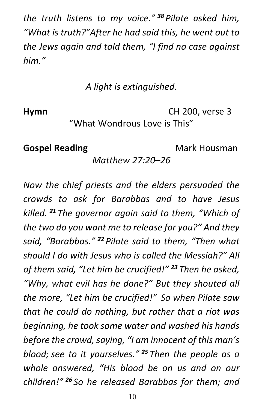*the truth listens to my voice." <sup>38</sup> Pilate asked him, "What is truth?"After he had said this, he went out to the Jews again and told them, "I find no case against him."*

*A light is extinguished.*

**Hymn** CH 200, verse 3

"What Wondrous Love is This"

**Gospel Reading** Mark Housman

*Matthew 27:20–26*

*Now the chief priests and the elders persuaded the crowds to ask for Barabbas and to have Jesus killed. <sup>21</sup> The governor again said to them, "Which of the two do you want me to release for you?" And they said, "Barabbas." <sup>22</sup> Pilate said to them, "Then what should I do with Jesus who is called the Messiah?" All of them said, "Let him be crucified!" <sup>23</sup> Then he asked, "Why, what evil has he done?" But they shouted all the more, "Let him be crucified!" So when Pilate saw that he could do nothing, but rather that a riot was beginning, he took some water and washed his hands before the crowd,saying, "I am innocent of this man's blood; see to it yourselves." <sup>25</sup> Then the people as a whole answered, "His blood be on us and on our children!" <sup>26</sup> So he released Barabbas for them; and*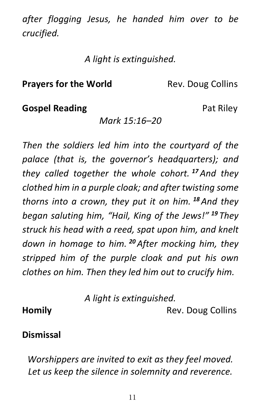*after flogging Jesus, he handed him over to be crucified.*

*A light is extinguished.*

# **Prayers for the World**  Rev. Doug Collins

# **Gospel Reading Pat Riley**

# *Mark 15:16–20*

*Then the soldiers led him into the courtyard of the palace (that is, the governor's headquarters); and they called together the whole cohort. <sup>17</sup>And they clothed him in a purple cloak; and after twisting some thorns into a crown, they put it on him. <sup>18</sup>And they began saluting him, "Hail, King of the Jews!" <sup>19</sup> They struck his head with a reed, spat upon him, and knelt down in homage to him. <sup>20</sup>After mocking him, they stripped him of the purple cloak and put his own clothes on him. Then they led him out to crucify him.*

*A light is extinguished.*

# **Homily** Rev. Doug Collins

# **Dismissal**

*Worshippers are invited to exit as they feel moved. Let us keep the silence in solemnity and reverence.*